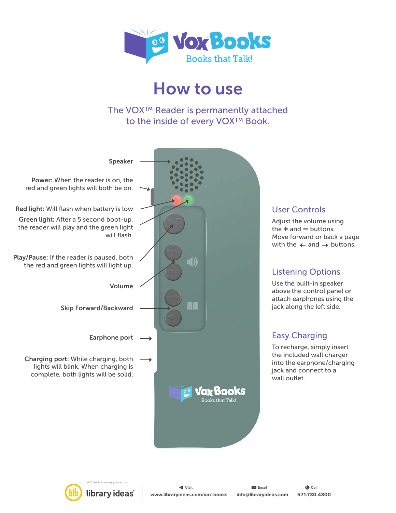

## How to use

The VOX™ Reader is permanently attached to the inside of every VOX™ Book.



### User Controls

Adjust the volume using the  $+$  and  $-$  buttons. Move forward or back a page with the  $\leftarrow$  and  $\rightarrow$  buttons.

## Listening Options

Use the built-in speaker above the control panel or attach earphones using the jack along the left side.

## Easy Charging

To recharge, simply insert the included wall charger into the earphone/charging jack and connect to a wall outlet.